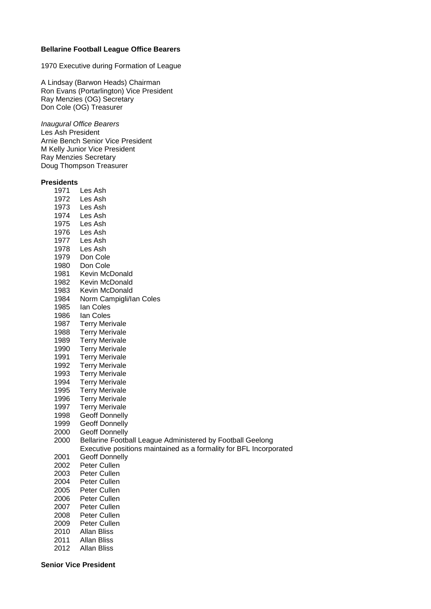## **Bellarine Football League Office Bearers**

1970 Executive during Formation of League

A Lindsay (Barwon Heads) Chairman Ron Evans (Portarlington) Vice President Ray Menzies (OG) Secretary Don Cole (OG) Treasurer

*Inaugural Office Bearers* Les Ash President Arnie Bench Senior Vice President M Kelly Junior Vice President Ray Menzies Secretary Doug Thompson Treasurer

## **Presidents**

| ๛๛๛๛ |                                                                    |
|------|--------------------------------------------------------------------|
| 1971 | Les Ash                                                            |
| 1972 | Les Ash                                                            |
| 1973 | Les Ash                                                            |
| 1974 | Les Ash                                                            |
| 1975 | Les Ash                                                            |
| 1976 | Les Ash                                                            |
| 1977 | Les Ash                                                            |
| 1978 | Les Ash                                                            |
| 1979 | Don Cole                                                           |
| 1980 | Don Cole                                                           |
| 1981 | Kevin McDonald                                                     |
| 1982 | Kevin McDonald                                                     |
| 1983 | Kevin McDonald                                                     |
| 1984 | Norm Campigli/lan Coles                                            |
| 1985 | lan Coles                                                          |
| 1986 | lan Coles                                                          |
| 1987 | <b>Terry Merivale</b>                                              |
| 1988 | <b>Terry Merivale</b>                                              |
| 1989 | <b>Terry Merivale</b>                                              |
| 1990 | <b>Terry Merivale</b>                                              |
| 1991 | <b>Terry Merivale</b>                                              |
| 1992 | <b>Terry Merivale</b>                                              |
| 1993 | <b>Terry Merivale</b>                                              |
| 1994 | <b>Terry Merivale</b>                                              |
| 1995 | <b>Terry Merivale</b>                                              |
| 1996 | <b>Terry Merivale</b>                                              |
| 1997 | <b>Terry Merivale</b>                                              |
| 1998 | <b>Geoff Donnelly</b>                                              |
| 1999 | <b>Geoff Donnelly</b>                                              |
| 2000 | <b>Geoff Donnelly</b>                                              |
| 2000 | Bellarine Football League Administered by Football Geelong         |
|      | Executive positions maintained as a formality for BFL Incorporated |
| 2001 | <b>Geoff Donnelly</b>                                              |
| 2002 | Peter Cullen                                                       |
| 2003 | Peter Cullen                                                       |
| 2004 | Peter Cullen                                                       |
| 2005 | Peter Cullen                                                       |
| 2006 | Peter Cullen                                                       |
| 2007 | Peter Cullen                                                       |
| 2008 | Peter Cullen                                                       |
| 2009 | Peter Cullen                                                       |
| 2010 | <b>Allan Bliss</b>                                                 |
| 2011 | Allan Bliss                                                        |
| 2012 | Allan Bliss                                                        |

**Senior Vice President**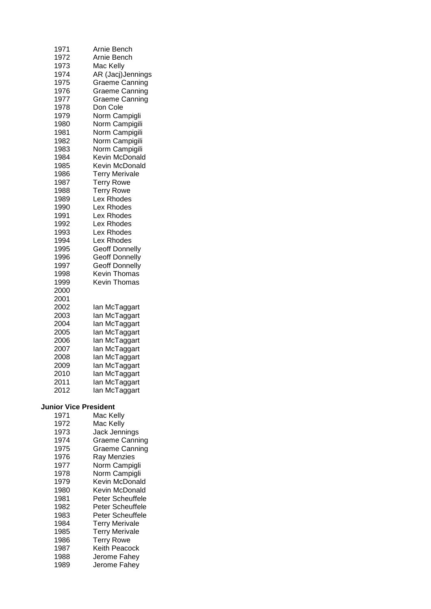| 1971                                              | Arnie Bench                         |  |  |  |
|---------------------------------------------------|-------------------------------------|--|--|--|
| 1972                                              | Arnie Bench                         |  |  |  |
| 1973                                              | Mac Kelly                           |  |  |  |
| 1974                                              | AR (Jacj)Jennings                   |  |  |  |
| 1975                                              | Graeme Canning                      |  |  |  |
| 1976                                              | Graeme Canning                      |  |  |  |
| 1977                                              | Graeme Canning                      |  |  |  |
| 1978                                              | Don Cole                            |  |  |  |
| 1979                                              | Norm Campigli                       |  |  |  |
| 1980                                              | Norm Campigili                      |  |  |  |
| 1981                                              | Norm Campigili                      |  |  |  |
| 1982                                              | Norm Campigili                      |  |  |  |
| 1983                                              | Norm Campigili                      |  |  |  |
| 1984                                              | Kevin McDonald                      |  |  |  |
| 1985                                              | Kevin McDonald                      |  |  |  |
| 1986                                              | <b>Terry Merivale</b>               |  |  |  |
| 1987                                              | <b>Terry Rowe</b>                   |  |  |  |
| 1988                                              | <b>Terry Rowe</b>                   |  |  |  |
| 1989                                              | Lex Rhodes                          |  |  |  |
| 1990                                              | Lex Rhodes                          |  |  |  |
| 1991                                              | Lex Rhodes                          |  |  |  |
| 1992                                              | Lex Rhodes                          |  |  |  |
| 1993                                              | Lex Rhodes                          |  |  |  |
| 1994                                              | Lex Rhodes                          |  |  |  |
| 1995                                              | <b>Geoff Donnelly</b>               |  |  |  |
| 1996                                              | <b>Geoff Donnelly</b>               |  |  |  |
| 1997                                              | <b>Geoff Donnelly</b>               |  |  |  |
| 1998<br>1999<br>2000                              | Kevin Thomas<br><b>Kevin Thomas</b> |  |  |  |
| 2001<br>2002<br>2003                              | lan McTaggart<br>lan McTaggart      |  |  |  |
| 2004                                              | lan McTaggart                       |  |  |  |
| 2005                                              | lan McTaggart                       |  |  |  |
| 2006                                              | lan McTaggart                       |  |  |  |
| 2007                                              | lan McTaggart                       |  |  |  |
| 2008                                              | lan McTaggart                       |  |  |  |
| 2009                                              | lan McTaggart                       |  |  |  |
| 2010                                              | lan McTaggart                       |  |  |  |
| 2011                                              | lan McTaggart                       |  |  |  |
| 2012                                              | lan McTaggart                       |  |  |  |
| <b>Junior Vice President</b><br>1971<br>Mac Kelly |                                     |  |  |  |
| 1972                                              | Mac Kelly                           |  |  |  |
| 1973                                              | Jack Jennings                       |  |  |  |
| 1974                                              | <b>Graeme Canning</b>               |  |  |  |
| 1975                                              | <b>Graeme Canning</b>               |  |  |  |
| 1976                                              | Ray Menzies                         |  |  |  |
| 1977                                              | Norm Campigli                       |  |  |  |
| 1978                                              | Norm Campigli                       |  |  |  |
| 1979                                              | Kevin McDonald                      |  |  |  |
| 1980                                              | Kevin McDonald                      |  |  |  |
| 1981                                              | Peter Scheuffele                    |  |  |  |
| 1982                                              | Peter Scheuffele                    |  |  |  |
| 1983                                              | Peter Scheuffele                    |  |  |  |
| 1984                                              | <b>Terry Merivale</b>               |  |  |  |
| 1985                                              | <b>Terry Merivale</b>               |  |  |  |
| 1986                                              | <b>Terry Rowe</b>                   |  |  |  |
| 1987                                              | Keith Peacock                       |  |  |  |
| 1988                                              | Jerome Fahey                        |  |  |  |
| 1989                                              | Jerome Fahey                        |  |  |  |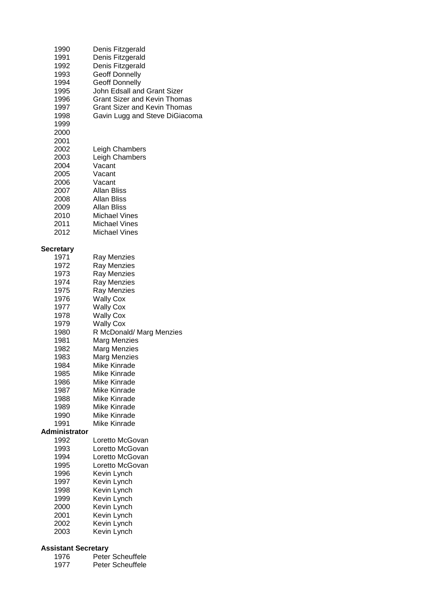| 1990<br>1991<br>1992<br>1993<br>1994<br>1995<br>1996<br>1997<br>1998<br>1999<br>2000<br>2001<br>2002<br>2003<br>2004<br>2005<br>2006<br>2007<br>2008<br>2009<br>2010<br>2011             | Denis Fitzgerald<br>Denis Fitzgerald<br>Denis Fitzgerald<br><b>Geoff Donnelly</b><br>Geoff Donnelly<br>John Edsall and Grant Sizer<br><b>Grant Sizer and Kevin Thomas</b><br>Grant Sizer and Kevin Thomas<br>Gavin Lugg and Steve DiGiacoma<br>Leigh Chambers<br>Leigh Chambers<br>Vacant<br>Vacant<br>Vacant<br>Allan Bliss<br>Allan Bliss<br>Allan Bliss<br><b>Michael Vines</b><br><b>Michael Vines</b> |
|------------------------------------------------------------------------------------------------------------------------------------------------------------------------------------------|------------------------------------------------------------------------------------------------------------------------------------------------------------------------------------------------------------------------------------------------------------------------------------------------------------------------------------------------------------------------------------------------------------|
| 2012                                                                                                                                                                                     | <b>Michael Vines</b>                                                                                                                                                                                                                                                                                                                                                                                       |
| <b>Secretary</b><br>1971<br>1972<br>1973<br>1974<br>1975<br>1976<br>1977<br>1978<br>1979<br>1980<br>1981<br>1982<br>1983<br>1984<br>1985<br>1986<br>1987<br>1988<br>1989<br>1990<br>1991 | Ray Menzies<br>Ray Menzies<br>Ray Menzies<br>Ray Menzies<br>Ray Menzies<br><b>Wally Cox</b><br><b>Wally Cox</b><br><b>Wally Cox</b><br><b>Wally Cox</b><br>R McDonald/ Marg Menzies<br>Marg Menzies<br>Marg Menzies<br><b>Marg Menzies</b><br>Mike Kinrade<br>Mike Kinrade<br>Mike Kinrade<br>Mike Kinrade<br>Mike Kinrade<br>Mike Kinrade<br>Mike Kinrade<br>Mike Kinrade                                 |
| Administrator<br>1992                                                                                                                                                                    | Loretto McGovan                                                                                                                                                                                                                                                                                                                                                                                            |
| 1993<br>1994<br>1995<br>1996<br>1997<br>1998<br>1999<br>2000<br>2001<br>2002<br>2003                                                                                                     | Loretto McGovan<br>Loretto McGovan<br>Loretto McGovan<br>Kevin Lynch<br>Kevin Lynch<br>Kevin Lynch<br>Kevin Lynch<br>Kevin Lynch<br>Kevin Lynch<br>Kevin Lynch<br>Kevin Lynch                                                                                                                                                                                                                              |

## **Assistant Secretary**

| 1976 | Peter Scheuffele |
|------|------------------|
| 1977 | Peter Scheuffele |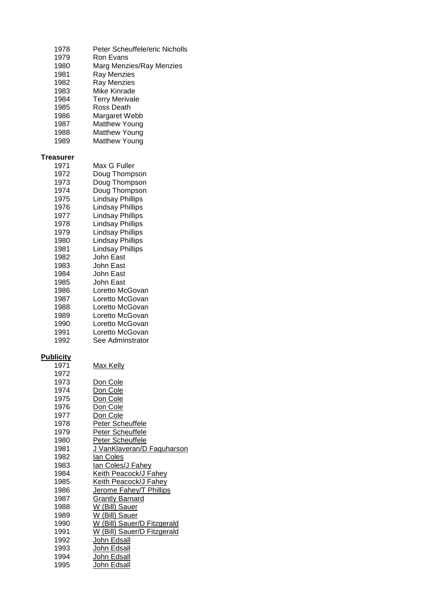| 1978<br>1979<br>1980<br>1981<br>1982<br>1983<br>1984<br>1985<br>1986<br>1987<br>1988<br>1989                                                                                                             | Peter Scheuffele/eric Nicholls<br>Ron Evans<br>Marg Menzies/Ray Menzies<br>Ray Menzies<br>Ray Menzies<br><b>Mike Kinrade</b><br><b>Terry Merivale</b><br>Ross Death<br>Margaret Webb<br><b>Matthew Young</b><br><b>Matthew Young</b><br><b>Matthew Young</b>                                                                                                                                                                                                  |
|----------------------------------------------------------------------------------------------------------------------------------------------------------------------------------------------------------|---------------------------------------------------------------------------------------------------------------------------------------------------------------------------------------------------------------------------------------------------------------------------------------------------------------------------------------------------------------------------------------------------------------------------------------------------------------|
| <b>Treasurer</b><br>1971<br>1972<br>1973<br>1974<br>1975<br>1976<br>1977<br>1978<br>1979<br>1980<br>1981<br>1982<br>1983<br>1984<br>1985<br>1986<br>1987<br>1988<br>1989<br>1990<br>1991<br>1992         | Max G Fuller<br>Doug Thompson<br>Doug Thompson<br>Doug Thompson<br><b>Lindsay Phillips</b><br><b>Lindsay Phillips</b><br><b>Lindsay Phillips</b><br><b>Lindsay Phillips</b><br><b>Lindsay Phillips</b><br><b>Lindsay Phillips</b><br><b>Lindsay Phillips</b><br>John East<br>John East<br>John East<br>John East<br>Loretto McGovan<br>Loretto McGovan<br>Loretto McGovan<br>Loretto McGovan<br>Loretto McGovan<br>Loretto McGovan<br>See Adminstrator        |
| <b>Publicity</b><br>1971<br>1972<br>1973<br>1974<br>1975<br>1976<br>1977<br>1978<br>1979<br>1980<br>1981<br>1982<br>1983<br>1984<br>1985<br>1986<br>1987<br>1988<br>1989<br>1990<br>1991<br>1992<br>1993 | <u>Max Kelly</u><br>Don Cole<br>Don Cole<br>Don Cole<br>Don Cole<br>Don Cole<br>Peter Scheuffele<br>Peter Scheuffele<br>Peter Scheuffele<br><u>J VanKlaveran/D Faquharson</u><br>lan Coles<br>lan Coles/J Fahey<br>Keith Peacock/J Fahey<br><b>Keith Peacock/J Fahey</b><br>Jerome Fahey/T Phillips<br><b>Grantly Barnard</b><br>W (Bill) Sauer<br>W (Bill) Sauer<br>W (Bill) Sauer/D Fitzgerald<br>W (Bill) Sauer/D Fitzgerald<br>John Edsall<br>John Edsall |

1994 John Edsall 1995 John Edsall